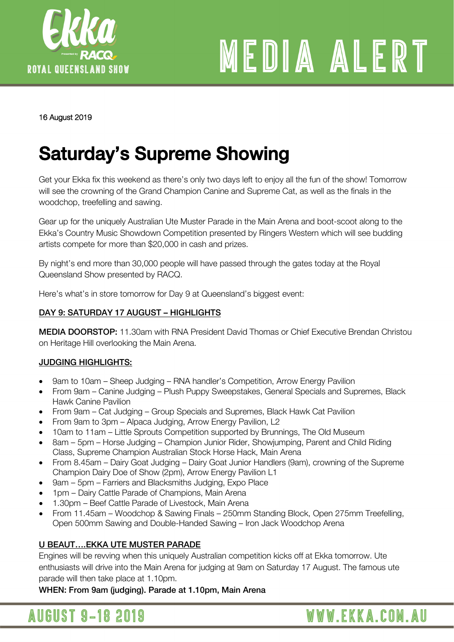

# MEDIA ALERT

#### 16 August 2019

## Saturday's Supreme Showing

Get your Ekka fix this weekend as there's only two days left to enjoy all the fun of the show! Tomorrow will see the crowning of the Grand Champion Canine and Supreme Cat, as well as the finals in the woodchop, treefelling and sawing.

Gear up for the uniquely Australian Ute Muster Parade in the Main Arena and boot-scoot along to the Ekka's Country Music Showdown Competition presented by Ringers Western which will see budding artists compete for more than \$20,000 in cash and prizes.

By night's end more than 30,000 people will have passed through the gates today at the Royal Queensland Show presented by RACQ.

Here's what's in store tomorrow for Day 9 at Queensland's biggest event:

#### DAY 9: SATURDAY 17 AUGUST – HIGHLIGHTS

MEDIA DOORSTOP: 11.30am with RNA President David Thomas or Chief Executive Brendan Christou on Heritage Hill overlooking the Main Arena.

#### JUDGING HIGHLIGHTS:

- 9am to 10am Sheep Judging RNA handler's Competition, Arrow Energy Pavilion
- From 9am Canine Judging Plush Puppy Sweepstakes, General Specials and Supremes, Black Hawk Canine Pavilion
- From 9am Cat Judging Group Specials and Supremes, Black Hawk Cat Pavilion
- From 9am to 3pm Alpaca Judging, Arrow Energy Pavilion, L2
- 10am to 11am Little Sprouts Competition supported by Brunnings, The Old Museum
- 8am 5pm Horse Judging Champion Junior Rider, Showjumping, Parent and Child Riding Class, Supreme Champion Australian Stock Horse Hack, Main Arena
- From 8.45am Dairy Goat Judging Dairy Goat Junior Handlers (9am), crowning of the Supreme Champion Dairy Doe of Show (2pm), Arrow Energy Pavilion L1
- 9am 5pm Farriers and Blacksmiths Judging, Expo Place
- 1pm Dairy Cattle Parade of Champions, Main Arena
- 1.30pm Beef Cattle Parade of Livestock, Main Arena
- From 11.45am Woodchop & Sawing Finals 250mm Standing Block, Open 275mm Treefelling, Open 500mm Sawing and Double-Handed Sawing – Iron Jack Woodchop Arena

#### U BEAUT….EKKA UTE MUSTER PARADE

Engines will be revving when this uniquely Australian competition kicks off at Ekka tomorrow. Ute enthusiasts will drive into the Main Arena for judging at 9am on Saturday 17 August. The famous ute parade will then take place at 1.10pm.

WHEN: From 9am (judging). Parade at 1.10pm, Main Arena

### **AUGUST 9-18 2019**

## WWW.EKKA.COM.AU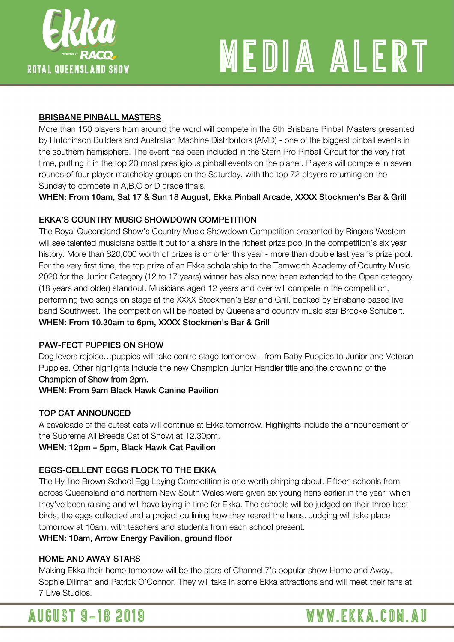

# MEDIA ALERT

#### BRISBANE PINBALL MASTERS

More than 150 players from around the word will compete in the 5th Brisbane Pinball Masters presented by Hutchinson Builders and Australian Machine Distributors (AMD) - one of the biggest pinball events in the southern hemisphere. The event has been included in the Stern Pro Pinball Circuit for the very first time, putting it in the top 20 most prestigious pinball events on the planet. Players will compete in seven rounds of four player matchplay groups on the Saturday, with the top 72 players returning on the Sunday to compete in A,B,C or D grade finals.

WHEN: From 10am, Sat 17 & Sun 18 August, Ekka Pinball Arcade, XXXX Stockmen's Bar & Grill

#### EKKA'S COUNTRY MUSIC SHOWDOWN COMPETITION

The Royal Queensland Show's Country Music Showdown Competition presented by Ringers Western will see talented musicians battle it out for a share in the richest prize pool in the competition's six year history. More than \$20,000 worth of prizes is on offer this year - more than double last year's prize pool. For the very first time, the top prize of an Ekka scholarship to the Tamworth Academy of Country Music 2020 for the Junior Category (12 to 17 years) winner has also now been extended to the Open category (18 years and older) standout. Musicians aged 12 years and over will compete in the competition, performing two songs on stage at the XXXX Stockmen's Bar and Grill, backed by Brisbane based live band Southwest. The competition will be hosted by Queensland country music star Brooke Schubert. WHEN: From 10.30am to 6pm, XXXX Stockmen's Bar & Grill

#### PAW-FECT PUPPIES ON SHOW

Dog lovers rejoice…puppies will take centre stage tomorrow – from Baby Puppies to Junior and Veteran Puppies. Other highlights include the new Champion Junior Handler title and the crowning of the

#### Champion of Show from 2pm.

WHEN: From 9am Black Hawk Canine Pavilion

#### TOP CAT ANNOUNCED

A cavalcade of the cutest cats will continue at Ekka tomorrow. Highlights include the announcement of the Supreme All Breeds Cat of Show) at 12.30pm.

#### WHEN: 12pm – 5pm, Black Hawk Cat Pavilion

#### EGGS-CELLENT EGGS FLOCK TO THE EKKA

The Hy-line Brown School Egg Laying Competition is one worth chirping about. Fifteen schools from across Queensland and northern New South Wales were given six young hens earlier in the year, which they've been raising and will have laying in time for Ekka. The schools will be judged on their three best birds, the eggs collected and a project outlining how they reared the hens. Judging will take place tomorrow at 10am, with teachers and students from each school present.

#### WHEN: 10am, Arrow Energy Pavilion, ground floor

#### HOME AND AWAY STARS

Making Ekka their home tomorrow will be the stars of Channel 7's popular show Home and Away, Sophie Dillman and Patrick O'Connor. They will take in some Ekka attractions and will meet their fans at 7 Live Studios.

**AUGUST 9-18 2019** 

## WWW.EKKA.COM.AU